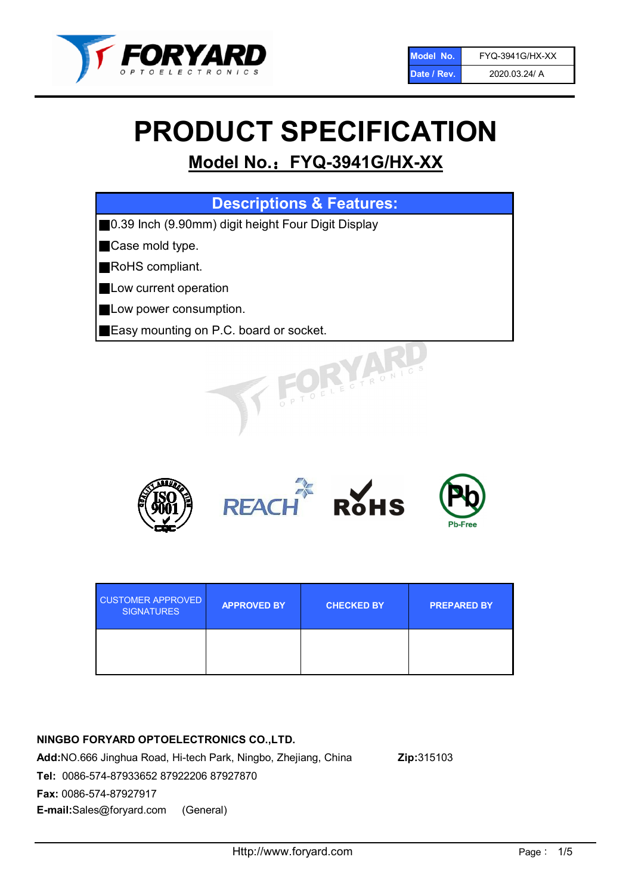

# PRODUCT SPECIFICATION

# Model No.: FYQ-3941G/HX-XX

| <b>Descriptions &amp; Features:</b>                 |
|-----------------------------------------------------|
| ■0.39 Inch (9.90mm) digit height Four Digit Display |
| Case mold type.                                     |
| RoHS compliant.                                     |
| Low current operation                               |
| Low power consumption.                              |
| Easy mounting on P.C. board or socket.              |
| OELECTRONICS                                        |



| <b>CUSTOMER APPROVED</b><br><b>SIGNATURES</b> | <b>APPROVED BY</b> | <b>CHECKED BY</b> | <b>PREPARED BY</b> |
|-----------------------------------------------|--------------------|-------------------|--------------------|
|                                               |                    |                   |                    |

# NINGBO FORYARD OPTOELECTRONICS CO.,LTD.

Add:NO.666 Jinghua Road, Hi-tech Park, Ningbo, Zhejiang, China Zip:315103 Tel: 0086-574-87933652 87922206 87927870 Fax: 0086-574-87927917 E-mail:Sales@foryard.com (General)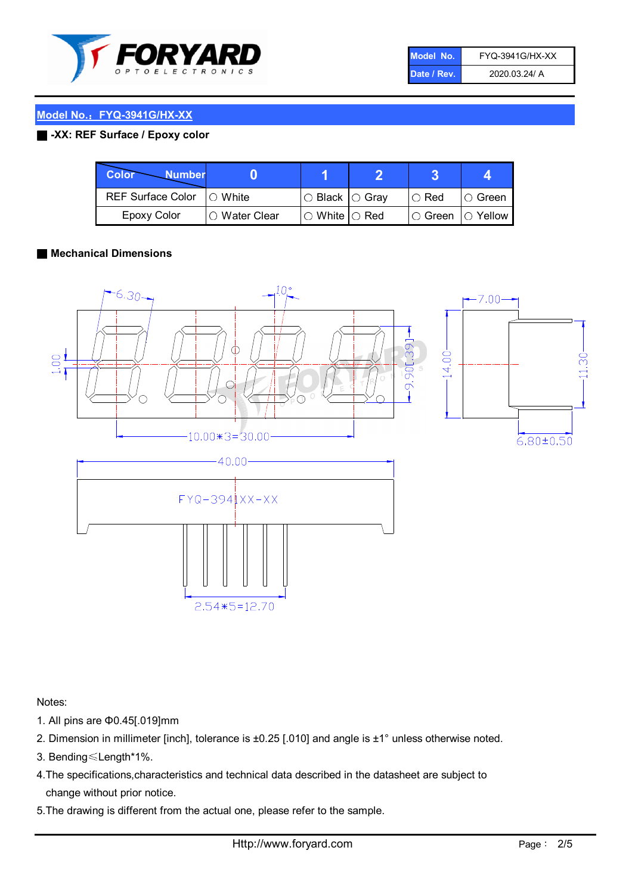

| Model No.   | <b>FYQ-3941G/HX-XX</b> |
|-------------|------------------------|
| Date / Rev. | 2020.03.24/ A          |

## Model No.: FYQ-3941G/HX-XX

#### ■ -XX: REF Surface / Epoxy color

| <b>Color</b><br><b>Number</b> |               |                                                   |             |                |
|-------------------------------|---------------|---------------------------------------------------|-------------|----------------|
| REF Surface Color   O White   |               | $\circ$ Black $\circ$ Gray                        | $\circ$ Red | $\circ$ Green  |
| <b>Epoxy Color</b>            | ○ Water Clear | $\mathbin{\varcap}$ White $\mathbin{\varcap}$ Red | I⊖ Green i  | $\circ$ Yellow |

#### ■ Mechanical Dimensions



Notes:

- 1. All pins are Φ0.45[.019]mm
- 2. Dimension in millimeter [inch], tolerance is ±0.25 [.010] and angle is ±1° unless otherwise noted.
- 3. Bending≤Length\*1%.
- 4.The specifications,characteristics and technical data described in the datasheet are subject to change without prior notice.
- 5.The drawing is different from the actual one, please refer to the sample.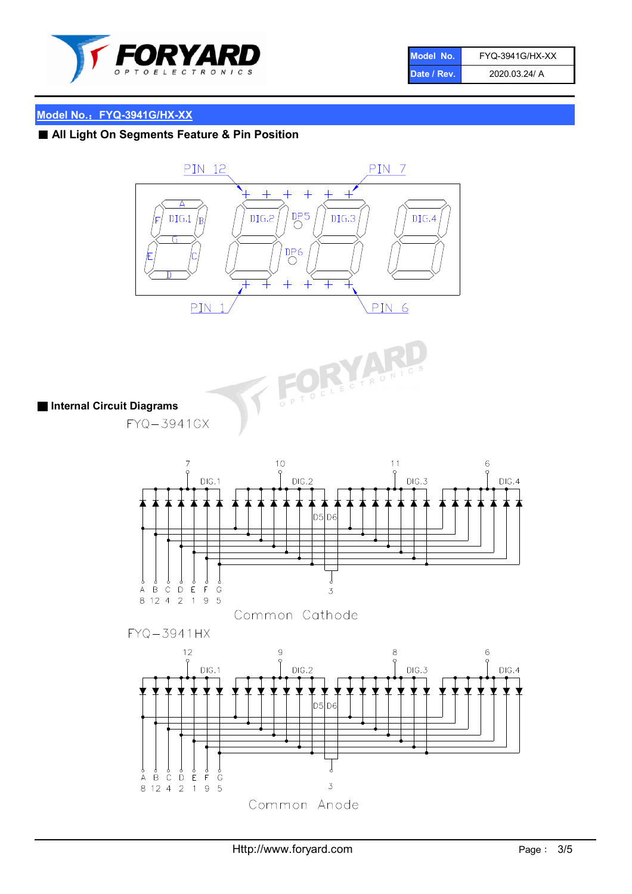

| Model No.   | <b>FYQ-3941G/HX-XX</b> |
|-------------|------------------------|
| Date / Rev. | 2020.03.24/ A          |

# Model No.: FYQ-3941G/HX-XX

■ All Light On Segments Feature & Pin Position





■ Internal Circuit Diagrams

FYQ-3941GX



Common Cathode



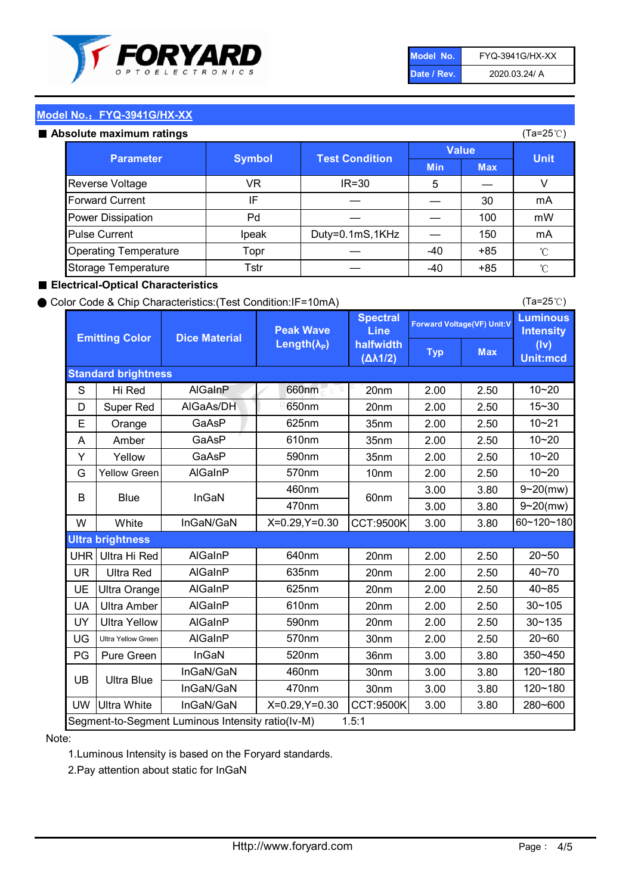

| Model No.   | <b>FYQ-3941G/HX-XX</b> |
|-------------|------------------------|
| Date / Rev. | 2020.03.24/ A          |

(Ta=25℃)

## Model No.: FYQ-3941G/HX-XX

#### Absolute maximum

| solute maximum ratings       |               |                       |              |            | (Ta=25℃)    |
|------------------------------|---------------|-----------------------|--------------|------------|-------------|
| <b>Parameter</b>             | <b>Symbol</b> | <b>Test Condition</b> | <b>Value</b> |            |             |
|                              |               |                       | <b>Min</b>   | <b>Max</b> | <b>Unit</b> |
| Reverse Voltage              | VR            | $IR = 30$             | 5            |            |             |
| <b>Forward Current</b>       | ΙF            |                       |              | 30         | mA          |
| Power Dissipation            | Pd            |                       |              | 100        | mW          |
| <b>Pulse Current</b>         | Ipeak         | Duty=0.1mS,1KHz       |              | 150        | mA          |
| <b>Operating Temperature</b> | Topr          |                       | $-40$        | $+85$      | °C          |
| Storage Temperature          | Tstr          |                       | $-40$        | $+85$      | °C          |

#### ■ Electrical-Optical Characteristics

#### ● Color Code & Chip Characteristics:(Test Condition:IF=10mA)

Typ Max S | Hi $\textsf{Red}$  | AlGaInP | 660nm LE 20nm | 2.00 | 2.50 D | Super Red | AIGaAs/DH | 650nm | 20nm | 2.00 | 2.50 E | Orange | GaAsP | 625nm | 35nm | 2.00 | 2.50 A | Amber | GaAsP | 610nm | 35nm | 2.00 | 2.50 Y | Yellow | GaAsP | 590nm | 35nm | 2.00 | 2.50 G Yellow Green AIGaInP | 570nm | 10nm | 2.00 | 2.50 3.00 3.80 3.00 3.80 W | White | InGaN/GaN | X=0.29,Y=0.30 |CCT:9500K| 3.00 | 3.80 UHR Ultra Hi Red | AlGaInP | 640nm | 20nm | 2.00 | 2.50 UR | Ultra Red | AlGaInP | 635nm | 20nm | 2.00 | 2.50 UE Ultra Orange | AIGaInP | 625nm | 20nm | 2.00 | 2.50 UA Ultra Amber | AIGaInP | 610nm | 20nm | 2.00 | 2.50  $UV$  Ultra Yellow  $\vert$  AlGaInP  $\vert$  590nm  $\vert$  20nm  $\vert$  2.00  $\vert$  2.50  $\text{UG}$  Ultra Yellow Green | AIGaInP | 570nm | 30nm | 2.00 | 2.50 PG Pure Green | InGaN | 520nm | 36nm | 3.00 | 3.80 30nm 3.00 3.80 30nm 3.00 3.80 UW |Ultra White | InGaN/GaN | X=0.29,Y=0.30 |CCT:9500K| 3.00 | 3.80 40~85 60~120~180 40~70 Segment-to-Segment Luminous Intensity ratio(Iv-M) 1.5:1 610nm 9~20(mw) 350~450 470nm 120~180 120~180 Ultra Blue InGaN/GaN InGaN/GaN 9~20(mw) 20~50 280~600 570nm | 30nm | 2.00 | 2.50 | 20~60 470nm 590nm InGaN/GaN B Blue I InGaN 570nm | 10nm | 2.00 | 2.50 | 10~20 30~105 30~135 460nm 520nm Ultra brightness **AlGaInP** AlGaInP 60nm AlGaInP 640nm Peak Wave Length $(\lambda_{\rm P})$ UB 460nm 635nm AlGaInP AlGaInP AlGaInP InGaN/GaN AlGaInP 10~20 Luminous **Intensity** (Iv) Unit:mcd AlGainP 660nm GaAsP GaAsP AlGaAs/DH **Spectral** Line halfwidth (∆λ1/2) 10~20 Standard brightness Forward Voltage(VF) Unit:V 15~30 10~20 625nm GaAsP 590nm **Emitting Color Dice Material** 10~21 610nm

#### Note:

1.Luminous Intensity is based on the Foryard standards.

2.Pay attention about static for InGaN